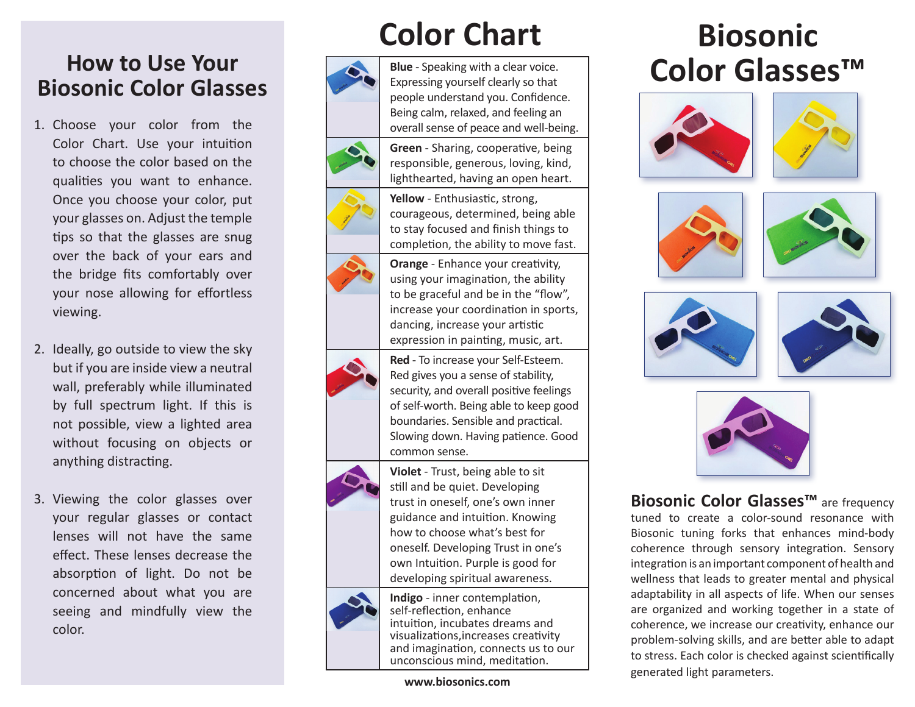# **How to Use Your Biosonic Color Glasses**

- 1. Choose your color from the Color Chart. Use your intuition to choose the color based on the qualities you want to enhance. Once you choose your color, put your glasses on. Adjust the temple tips so that the glasses are snug over the back of your ears and the bridge fits comfortably over your nose allowing for effortless viewing.
- 2. Ideally, go outside to view the sky but if you are inside view a neutral wall, preferably while illuminated by full spectrum light. If this is not possible, view a lighted area without focusing on objects or anything distracting.
- 3. Viewing the color glasses over your regular glasses or contact lenses will not have the same effect. These lenses decrease the absorption of light. Do not be concerned about what you are seeing and mindfully view the color.

# **Color Chart**

**Green** - Sharing, cooperative, being responsible, generous, loving, kind, lighthearted, having an open heart.

completion, the ability to move fast. **Orange** - Enhance your creativity, using your imagination, the ability to be graceful and be in the "flow", increase your coordination in sports, dancing, increase your artistic











expression in painting, music, art. **Red** - To increase your Self-Esteem. Red gives you a sense of stability, security, and overall positive feelings of self-worth. Being able to keep good boundaries. Sensible and practical. Slowing down. Having patience. Good common sense.



**Violet** - Trust, being able to sit still and be quiet. Developing trust in oneself, one's own inner guidance and intuition. Knowing how to choose what's best for oneself. Developing Trust in one's own Intuition. Purple is good for developing spiritual awareness.



**Indigo** - inner contemplation, self-reflection, enhance intuition, incubates dreams and visualizations,increases creativity and imagination, connects us to our unconscious mind, meditation.

**[www.biosonics.com](http://www.biosonics.com)**

# **Biosonic Color Glasses™**













**Biosonic Color Glasses™** are frequency tuned to create a color-sound resonance with Biosonic tuning forks that enhances mind-body coherence through sensory integration. Sensory integration is an important component of health and wellness that leads to greater mental and physical adaptability in all aspects of life. When our senses are organized and working together in a state of coherence, we increase our creativity, enhance our problem-solving skills, and are better able to adapt to stress. Each color is checked against scientifically generated light parameters.